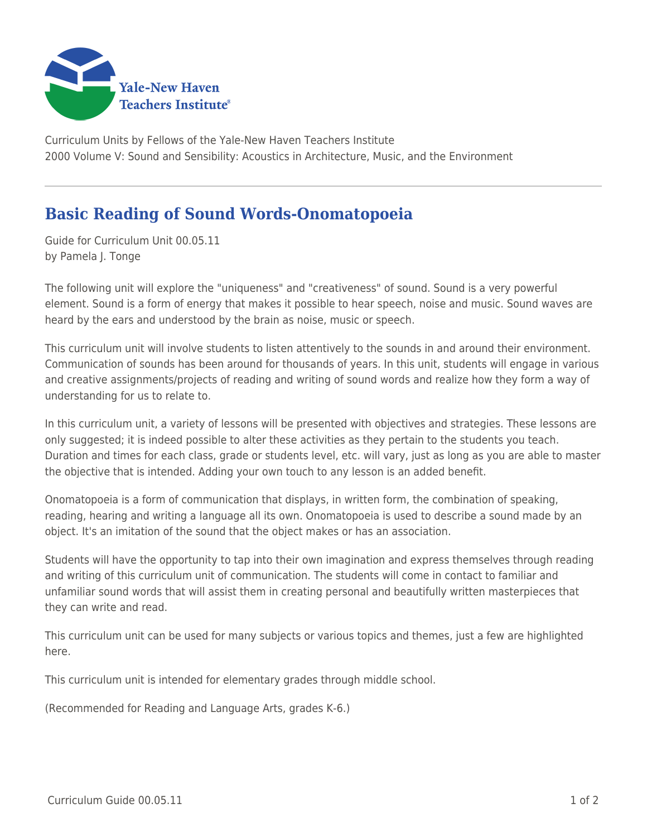

Curriculum Units by Fellows of the Yale-New Haven Teachers Institute 2000 Volume V: Sound and Sensibility: Acoustics in Architecture, Music, and the Environment

## **Basic Reading of Sound Words-Onomatopoeia**

Guide for Curriculum Unit 00.05.11 by Pamela J. Tonge

The following unit will explore the "uniqueness" and "creativeness" of sound. Sound is a very powerful element. Sound is a form of energy that makes it possible to hear speech, noise and music. Sound waves are heard by the ears and understood by the brain as noise, music or speech.

This curriculum unit will involve students to listen attentively to the sounds in and around their environment. Communication of sounds has been around for thousands of years. In this unit, students will engage in various and creative assignments/projects of reading and writing of sound words and realize how they form a way of understanding for us to relate to.

In this curriculum unit, a variety of lessons will be presented with objectives and strategies. These lessons are only suggested; it is indeed possible to alter these activities as they pertain to the students you teach. Duration and times for each class, grade or students level, etc. will vary, just as long as you are able to master the objective that is intended. Adding your own touch to any lesson is an added benefit.

Onomatopoeia is a form of communication that displays, in written form, the combination of speaking, reading, hearing and writing a language all its own. Onomatopoeia is used to describe a sound made by an object. It's an imitation of the sound that the object makes or has an association.

Students will have the opportunity to tap into their own imagination and express themselves through reading and writing of this curriculum unit of communication. The students will come in contact to familiar and unfamiliar sound words that will assist them in creating personal and beautifully written masterpieces that they can write and read.

This curriculum unit can be used for many subjects or various topics and themes, just a few are highlighted here.

This curriculum unit is intended for elementary grades through middle school.

(Recommended for Reading and Language Arts, grades K-6.)